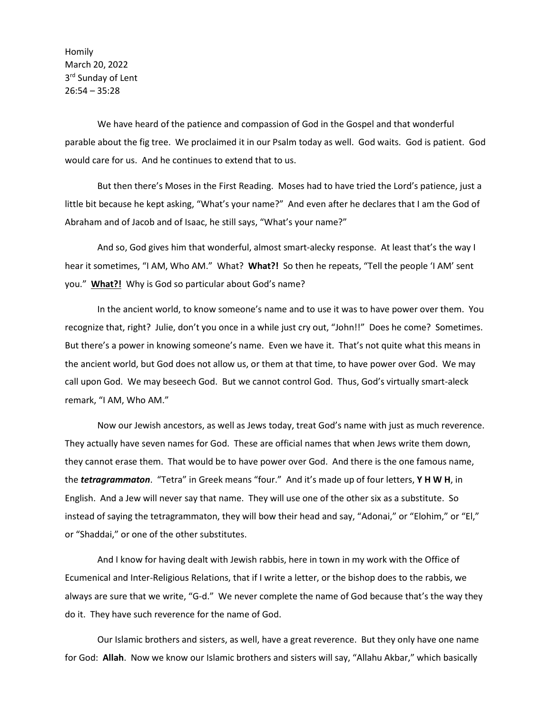Homily March 20, 2022 3<sup>rd</sup> Sunday of Lent 26:54 – 35:28

We have heard of the patience and compassion of God in the Gospel and that wonderful parable about the fig tree. We proclaimed it in our Psalm today as well. God waits. God is patient. God would care for us. And he continues to extend that to us.

But then there's Moses in the First Reading. Moses had to have tried the Lord's patience, just a little bit because he kept asking, "What's your name?" And even after he declares that I am the God of Abraham and of Jacob and of Isaac, he still says, "What's your name?"

And so, God gives him that wonderful, almost smart-alecky response. At least that's the way I hear it sometimes, "I AM, Who AM." What? **What?!** So then he repeats, "Tell the people 'I AM' sent you." **What?!** Why is God so particular about God's name?

In the ancient world, to know someone's name and to use it was to have power over them. You recognize that, right? Julie, don't you once in a while just cry out, "John!!" Does he come? Sometimes. But there's a power in knowing someone's name. Even we have it. That's not quite what this means in the ancient world, but God does not allow us, or them at that time, to have power over God. We may call upon God. We may beseech God. But we cannot control God. Thus, God's virtually smart-aleck remark, "I AM, Who AM."

Now our Jewish ancestors, as well as Jews today, treat God's name with just as much reverence. They actually have seven names for God. These are official names that when Jews write them down, they cannot erase them. That would be to have power over God. And there is the one famous name, the *tetragrammaton*. "Tetra" in Greek means "four." And it's made up of four letters, **Y H W H**, in English. And a Jew will never say that name. They will use one of the other six as a substitute. So instead of saying the tetragrammaton, they will bow their head and say, "Adonai," or "Elohim," or "El," or "Shaddai," or one of the other substitutes.

And I know for having dealt with Jewish rabbis, here in town in my work with the Office of Ecumenical and Inter-Religious Relations, that if I write a letter, or the bishop does to the rabbis, we always are sure that we write, "G-d." We never complete the name of God because that's the way they do it. They have such reverence for the name of God.

Our Islamic brothers and sisters, as well, have a great reverence. But they only have one name for God: **Allah**. Now we know our Islamic brothers and sisters will say, "Allahu Akbar," which basically